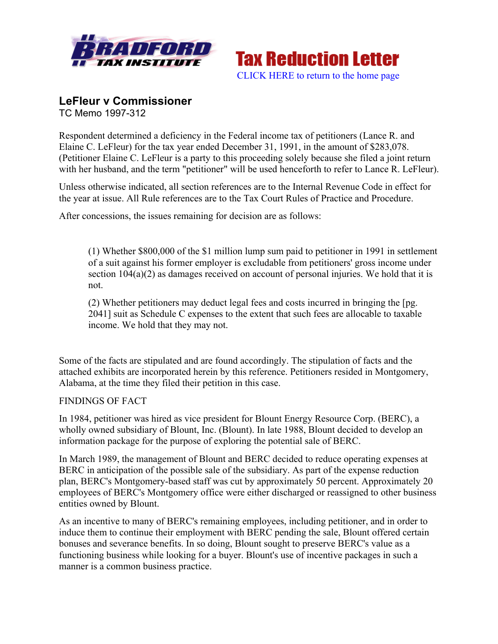



## **LeFleur v Commissioner**

TC Memo 1997-312

Respondent determined a deficiency in the Federal income tax of petitioners (Lance R. and Elaine C. LeFleur) for the tax year ended December 31, 1991, in the amount of \$283,078. (Petitioner Elaine C. LeFleur is a party to this proceeding solely because she filed a joint return with her husband, and the term "petitioner" will be used henceforth to refer to Lance R. LeFleur).

Unless otherwise indicated, all section references are to the Internal Revenue Code in effect for the year at issue. All Rule references are to the Tax Court Rules of Practice and Procedure.

After concessions, the issues remaining for decision are as follows:

(1) Whether \$800,000 of the \$1 million lump sum paid to petitioner in 1991 in settlement of a suit against his former employer is excludable from petitioners' gross income under section 104(a)(2) as damages received on account of personal injuries. We hold that it is not.

(2) Whether petitioners may deduct legal fees and costs incurred in bringing the [pg. 2041] suit as Schedule C expenses to the extent that such fees are allocable to taxable income. We hold that they may not.

Some of the facts are stipulated and are found accordingly. The stipulation of facts and the attached exhibits are incorporated herein by this reference. Petitioners resided in Montgomery, Alabama, at the time they filed their petition in this case.

## FINDINGS OF FACT

In 1984, petitioner was hired as vice president for Blount Energy Resource Corp. (BERC), a wholly owned subsidiary of Blount, Inc. (Blount). In late 1988, Blount decided to develop an information package for the purpose of exploring the potential sale of BERC.

In March 1989, the management of Blount and BERC decided to reduce operating expenses at BERC in anticipation of the possible sale of the subsidiary. As part of the expense reduction plan, BERC's Montgomery-based staff was cut by approximately 50 percent. Approximately 20 employees of BERC's Montgomery office were either discharged or reassigned to other business entities owned by Blount.

As an incentive to many of BERC's remaining employees, including petitioner, and in order to induce them to continue their employment with BERC pending the sale, Blount offered certain bonuses and severance benefits. In so doing, Blount sought to preserve BERC's value as a functioning business while looking for a buyer. Blount's use of incentive packages in such a manner is a common business practice.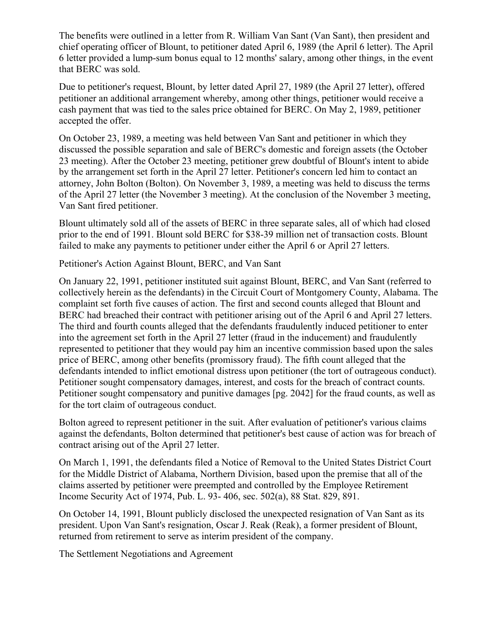The benefits were outlined in a letter from R. William Van Sant (Van Sant), then president and chief operating officer of Blount, to petitioner dated April 6, 1989 (the April 6 letter). The April 6 letter provided a lump-sum bonus equal to 12 months' salary, among other things, in the event that BERC was sold.

Due to petitioner's request, Blount, by letter dated April 27, 1989 (the April 27 letter), offered petitioner an additional arrangement whereby, among other things, petitioner would receive a cash payment that was tied to the sales price obtained for BERC. On May 2, 1989, petitioner accepted the offer.

On October 23, 1989, a meeting was held between Van Sant and petitioner in which they discussed the possible separation and sale of BERC's domestic and foreign assets (the October 23 meeting). After the October 23 meeting, petitioner grew doubtful of Blount's intent to abide by the arrangement set forth in the April 27 letter. Petitioner's concern led him to contact an attorney, John Bolton (Bolton). On November 3, 1989, a meeting was held to discuss the terms of the April 27 letter (the November 3 meeting). At the conclusion of the November 3 meeting, Van Sant fired petitioner.

Blount ultimately sold all of the assets of BERC in three separate sales, all of which had closed prior to the end of 1991. Blount sold BERC for \$38-39 million net of transaction costs. Blount failed to make any payments to petitioner under either the April 6 or April 27 letters.

Petitioner's Action Against Blount, BERC, and Van Sant

On January 22, 1991, petitioner instituted suit against Blount, BERC, and Van Sant (referred to collectively herein as the defendants) in the Circuit Court of Montgomery County, Alabama. The complaint set forth five causes of action. The first and second counts alleged that Blount and BERC had breached their contract with petitioner arising out of the April 6 and April 27 letters. The third and fourth counts alleged that the defendants fraudulently induced petitioner to enter into the agreement set forth in the April 27 letter (fraud in the inducement) and fraudulently represented to petitioner that they would pay him an incentive commission based upon the sales price of BERC, among other benefits (promissory fraud). The fifth count alleged that the defendants intended to inflict emotional distress upon petitioner (the tort of outrageous conduct). Petitioner sought compensatory damages, interest, and costs for the breach of contract counts. Petitioner sought compensatory and punitive damages [pg. 2042] for the fraud counts, as well as for the tort claim of outrageous conduct.

Bolton agreed to represent petitioner in the suit. After evaluation of petitioner's various claims against the defendants, Bolton determined that petitioner's best cause of action was for breach of contract arising out of the April 27 letter.

On March 1, 1991, the defendants filed a Notice of Removal to the United States District Court for the Middle District of Alabama, Northern Division, based upon the premise that all of the claims asserted by petitioner were preempted and controlled by the Employee Retirement Income Security Act of 1974, Pub. L. 93- 406, sec. 502(a), 88 Stat. 829, 891.

On October 14, 1991, Blount publicly disclosed the unexpected resignation of Van Sant as its president. Upon Van Sant's resignation, Oscar J. Reak (Reak), a former president of Blount, returned from retirement to serve as interim president of the company.

The Settlement Negotiations and Agreement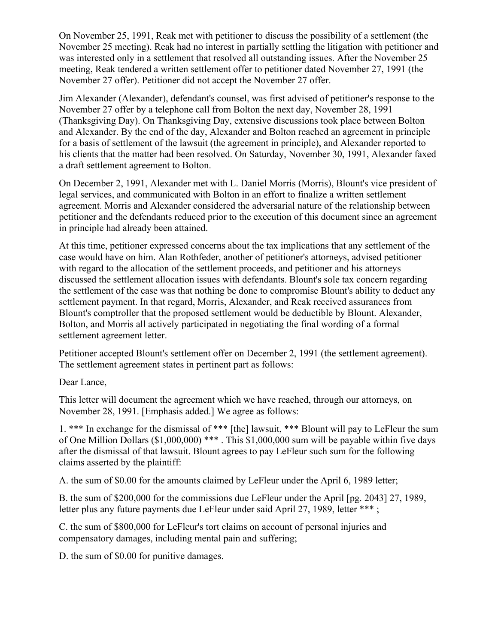On November 25, 1991, Reak met with petitioner to discuss the possibility of a settlement (the November 25 meeting). Reak had no interest in partially settling the litigation with petitioner and was interested only in a settlement that resolved all outstanding issues. After the November 25 meeting, Reak tendered a written settlement offer to petitioner dated November 27, 1991 (the November 27 offer). Petitioner did not accept the November 27 offer.

Jim Alexander (Alexander), defendant's counsel, was first advised of petitioner's response to the November 27 offer by a telephone call from Bolton the next day, November 28, 1991 (Thanksgiving Day). On Thanksgiving Day, extensive discussions took place between Bolton and Alexander. By the end of the day, Alexander and Bolton reached an agreement in principle for a basis of settlement of the lawsuit (the agreement in principle), and Alexander reported to his clients that the matter had been resolved. On Saturday, November 30, 1991, Alexander faxed a draft settlement agreement to Bolton.

On December 2, 1991, Alexander met with L. Daniel Morris (Morris), Blount's vice president of legal services, and communicated with Bolton in an effort to finalize a written settlement agreement. Morris and Alexander considered the adversarial nature of the relationship between petitioner and the defendants reduced prior to the execution of this document since an agreement in principle had already been attained.

At this time, petitioner expressed concerns about the tax implications that any settlement of the case would have on him. Alan Rothfeder, another of petitioner's attorneys, advised petitioner with regard to the allocation of the settlement proceeds, and petitioner and his attorneys discussed the settlement allocation issues with defendants. Blount's sole tax concern regarding the settlement of the case was that nothing be done to compromise Blount's ability to deduct any settlement payment. In that regard, Morris, Alexander, and Reak received assurances from Blount's comptroller that the proposed settlement would be deductible by Blount. Alexander, Bolton, and Morris all actively participated in negotiating the final wording of a formal settlement agreement letter.

Petitioner accepted Blount's settlement offer on December 2, 1991 (the settlement agreement). The settlement agreement states in pertinent part as follows:

Dear Lance,

This letter will document the agreement which we have reached, through our attorneys, on November 28, 1991. [Emphasis added.] We agree as follows:

1. \*\*\* In exchange for the dismissal of \*\*\* [the] lawsuit, \*\*\* Blount will pay to LeFleur the sum of One Million Dollars (\$1,000,000) \*\*\* . This \$1,000,000 sum will be payable within five days after the dismissal of that lawsuit. Blount agrees to pay LeFleur such sum for the following claims asserted by the plaintiff:

A. the sum of \$0.00 for the amounts claimed by LeFleur under the April 6, 1989 letter;

B. the sum of \$200,000 for the commissions due LeFleur under the April [pg. 2043] 27, 1989, letter plus any future payments due LeFleur under said April 27, 1989, letter \*\*\*;

C. the sum of \$800,000 for LeFleur's tort claims on account of personal injuries and compensatory damages, including mental pain and suffering;

D. the sum of \$0.00 for punitive damages.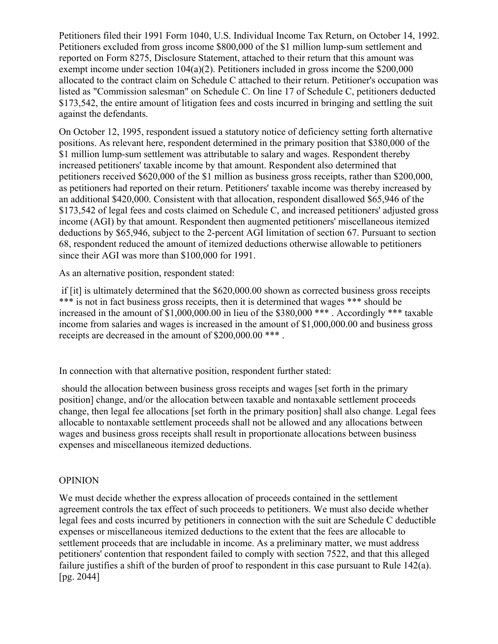Petitioners filed their 1991 Form 1040, U.S. Individual Income Tax Return, on October 14, 1992. Petitioners excluded from gross income \$800,000 of the \$1 million lump-sum settlement and reported on Form 8275, Disclosure Statement, attached to their return that this amount was exempt income under section 104(a)(2). Petitioners included in gross income the \$200,000 allocated to the contract claim on Schedule C attached to their return. Petitioner's occupation was listed as "Commission salesman" on Schedule C. On line 17 of Schedule C, petitioners deducted \$173,542, the entire amount of litigation fees and costs incurred in bringing and settling the suit against the defendants.

On October 12, 1995, respondent issued a statutory notice of deficiency setting forth alternative positions. As relevant here, respondent determined in the primary position that \$380,000 of the \$1 million lump-sum settlement was attributable to salary and wages. Respondent thereby increased petitioners' taxable income by that amount. Respondent also determined that petitioners received \$620,000 of the \$1 million as business gross receipts, rather than \$200,000, as petitioners had reported on their return. Petitioners' taxable income was thereby increased by an additional \$420,000. Consistent with that allocation, respondent disallowed \$65,946 of the \$173,542 of legal fees and costs claimed on Schedule C, and increased petitioners' adjusted gross income (AGI) by that amount. Respondent then augmented petitioners' miscellaneous itemized deductions by \$65,946, subject to the 2-percent AGI limitation of section 67. Pursuant to section 68, respondent reduced the amount of itemized deductions otherwise allowable to petitioners since their AGI was more than \$100,000 for 1991.

As an alternative position, respondent stated:

if [it] is ultimately determined that the \$620,000.00 shown as corrected business gross receipts \*\*\* is not in fact business gross receipts, then it is determined that wages \*\*\* should be increased in the amount of \$1,000,000.00 in lieu of the \$380,000 \*\*\* . Accordingly \*\*\* taxable income from salaries and wages is increased in the amount of \$1,000,000.00 and business gross receipts are decreased in the amount of \$200,000.00 \*\*\* .

In connection with that alternative position, respondent further stated:

should the allocation between business gross receipts and wages [set forth in the primary position] change, and/or the allocation between taxable and nontaxable settlement proceeds change, then legal fee allocations [set forth in the primary position] shall also change. Legal fees allocable to nontaxable settlement proceeds shall not be allowed and any allocations between wages and business gross receipts shall result in proportionate allocations between business expenses and miscellaneous itemized deductions.

## OPINION

We must decide whether the express allocation of proceeds contained in the settlement agreement controls the tax effect of such proceeds to petitioners. We must also decide whether legal fees and costs incurred by petitioners in connection with the suit are Schedule C deductible expenses or miscellaneous itemized deductions to the extent that the fees are allocable to settlement proceeds that are includable in income. As a preliminary matter, we must address petitioners' contention that respondent failed to comply with section 7522, and that this alleged failure justifies a shift of the burden of proof to respondent in this case pursuant to Rule 142(a). [pg. 2044]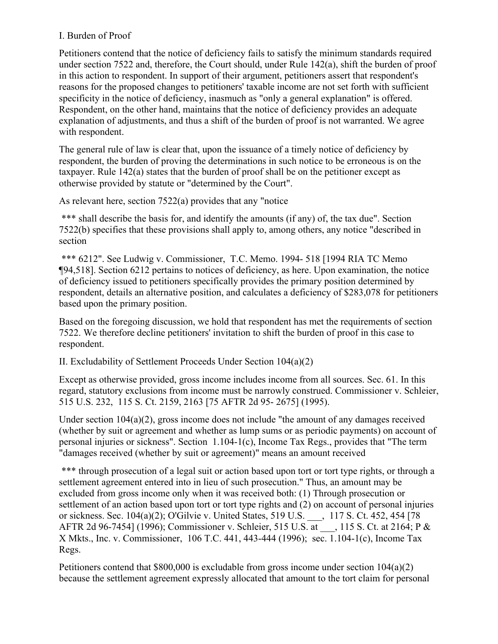## I. Burden of Proof

Petitioners contend that the notice of deficiency fails to satisfy the minimum standards required under section 7522 and, therefore, the Court should, under Rule 142(a), shift the burden of proof in this action to respondent. In support of their argument, petitioners assert that respondent's reasons for the proposed changes to petitioners' taxable income are not set forth with sufficient specificity in the notice of deficiency, inasmuch as "only a general explanation" is offered. Respondent, on the other hand, maintains that the notice of deficiency provides an adequate explanation of adjustments, and thus a shift of the burden of proof is not warranted. We agree with respondent.

The general rule of law is clear that, upon the issuance of a timely notice of deficiency by respondent, the burden of proving the determinations in such notice to be erroneous is on the taxpayer. Rule 142(a) states that the burden of proof shall be on the petitioner except as otherwise provided by statute or "determined by the Court".

As relevant here, section 7522(a) provides that any "notice

\*\*\* shall describe the basis for, and identify the amounts (if any) of, the tax due". Section 7522(b) specifies that these provisions shall apply to, among others, any notice "described in section

\*\*\* 6212". See Ludwig v. Commissioner, T.C. Memo. 1994- 518 [1994 RIA TC Memo ¶94,518]. Section 6212 pertains to notices of deficiency, as here. Upon examination, the notice of deficiency issued to petitioners specifically provides the primary position determined by respondent, details an alternative position, and calculates a deficiency of \$283,078 for petitioners based upon the primary position.

Based on the foregoing discussion, we hold that respondent has met the requirements of section 7522. We therefore decline petitioners' invitation to shift the burden of proof in this case to respondent.

II. Excludability of Settlement Proceeds Under Section 104(a)(2)

Except as otherwise provided, gross income includes income from all sources. Sec. 61. In this regard, statutory exclusions from income must be narrowly construed. Commissioner v. Schleier, 515 U.S. 232, 115 S. Ct. 2159, 2163 [75 AFTR 2d 95- 2675] (1995).

Under section  $104(a)(2)$ , gross income does not include "the amount of any damages received (whether by suit or agreement and whether as lump sums or as periodic payments) on account of personal injuries or sickness". Section 1.104-1(c), Income Tax Regs., provides that "The term "damages received (whether by suit or agreement)" means an amount received

\*\*\* through prosecution of a legal suit or action based upon tort or tort type rights, or through a settlement agreement entered into in lieu of such prosecution." Thus, an amount may be excluded from gross income only when it was received both: (1) Through prosecution or settlement of an action based upon tort or tort type rights and (2) on account of personal injuries or sickness. Sec. 104(a)(2); O'Gilvie v. United States, 519 U.S. \_\_\_, 117 S. Ct. 452, 454 [78 AFTR 2d 96-7454] (1996); Commissioner v. Schleier, 515 U.S. at \_\_\_, 115 S. Ct. at 2164; P & X Mkts., Inc. v. Commissioner, 106 T.C. 441, 443-444 (1996); sec. 1.104-1(c), Income Tax Regs.

Petitioners contend that \$800,000 is excludable from gross income under section 104(a)(2) because the settlement agreement expressly allocated that amount to the tort claim for personal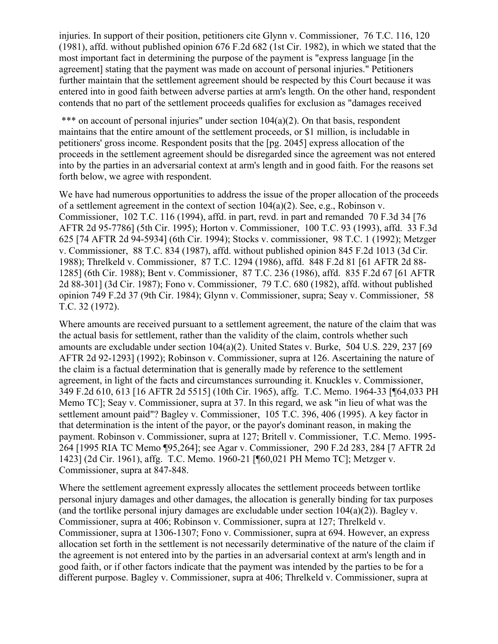injuries. In support of their position, petitioners cite Glynn v. Commissioner, 76 T.C. 116, 120 (1981), affd. without published opinion 676 F.2d 682 (1st Cir. 1982), in which we stated that the most important fact in determining the purpose of the payment is "express language [in the agreement] stating that the payment was made on account of personal injuries." Petitioners further maintain that the settlement agreement should be respected by this Court because it was entered into in good faith between adverse parties at arm's length. On the other hand, respondent contends that no part of the settlement proceeds qualifies for exclusion as "damages received

\*\*\* on account of personal injuries" under section 104(a)(2). On that basis, respondent maintains that the entire amount of the settlement proceeds, or \$1 million, is includable in petitioners' gross income. Respondent posits that the [pg. 2045] express allocation of the proceeds in the settlement agreement should be disregarded since the agreement was not entered into by the parties in an adversarial context at arm's length and in good faith. For the reasons set forth below, we agree with respondent.

We have had numerous opportunities to address the issue of the proper allocation of the proceeds of a settlement agreement in the context of section 104(a)(2). See, e.g., Robinson v. Commissioner, 102 T.C. 116 (1994), affd. in part, revd. in part and remanded 70 F.3d 34 [76 AFTR 2d 95-7786] (5th Cir. 1995); Horton v. Commissioner, 100 T.C. 93 (1993), affd. 33 F.3d 625 [74 AFTR 2d 94-5934] (6th Cir. 1994); Stocks v. commissioner, 98 T.C. 1 (1992); Metzger v. Commissioner, 88 T.C. 834 (1987), affd. without published opinion 845 F.2d 1013 (3d Cir. 1988); Threlkeld v. Commissioner, 87 T.C. 1294 (1986), affd. 848 F.2d 81 [61 AFTR 2d 88- 1285] (6th Cir. 1988); Bent v. Commissioner, 87 T.C. 236 (1986), affd. 835 F.2d 67 [61 AFTR 2d 88-301] (3d Cir. 1987); Fono v. Commissioner, 79 T.C. 680 (1982), affd. without published opinion 749 F.2d 37 (9th Cir. 1984); Glynn v. Commissioner, supra; Seay v. Commissioner, 58 T.C. 32 (1972).

Where amounts are received pursuant to a settlement agreement, the nature of the claim that was the actual basis for settlement, rather than the validity of the claim, controls whether such amounts are excludable under section 104(a)(2). United States v. Burke, 504 U.S. 229, 237 [69 AFTR 2d 92-1293] (1992); Robinson v. Commissioner, supra at 126. Ascertaining the nature of the claim is a factual determination that is generally made by reference to the settlement agreement, in light of the facts and circumstances surrounding it. Knuckles v. Commissioner, 349 F.2d 610, 613 [16 AFTR 2d 5515] (10th Cir. 1965), affg. T.C. Memo. 1964-33 [¶64,033 PH Memo TC]; Seay v. Commissioner, supra at 37. In this regard, we ask "in lieu of what was the settlement amount paid"? Bagley v. Commissioner, 105 T.C. 396, 406 (1995). A key factor in that determination is the intent of the payor, or the payor's dominant reason, in making the payment. Robinson v. Commissioner, supra at 127; Britell v. Commissioner, T.C. Memo. 1995- 264 [1995 RIA TC Memo ¶95,264]; see Agar v. Commissioner, 290 F.2d 283, 284 [7 AFTR 2d 1423] (2d Cir. 1961), affg. T.C. Memo. 1960-21 [¶60,021 PH Memo TC]; Metzger v. Commissioner, supra at 847-848.

Where the settlement agreement expressly allocates the settlement proceeds between tortlike personal injury damages and other damages, the allocation is generally binding for tax purposes (and the tortlike personal injury damages are excludable under section  $104(a)(2)$ ). Bagley v. Commissioner, supra at 406; Robinson v. Commissioner, supra at 127; Threlkeld v. Commissioner, supra at 1306-1307; Fono v. Commissioner, supra at 694. However, an express allocation set forth in the settlement is not necessarily determinative of the nature of the claim if the agreement is not entered into by the parties in an adversarial context at arm's length and in good faith, or if other factors indicate that the payment was intended by the parties to be for a different purpose. Bagley v. Commissioner, supra at 406; Threlkeld v. Commissioner, supra at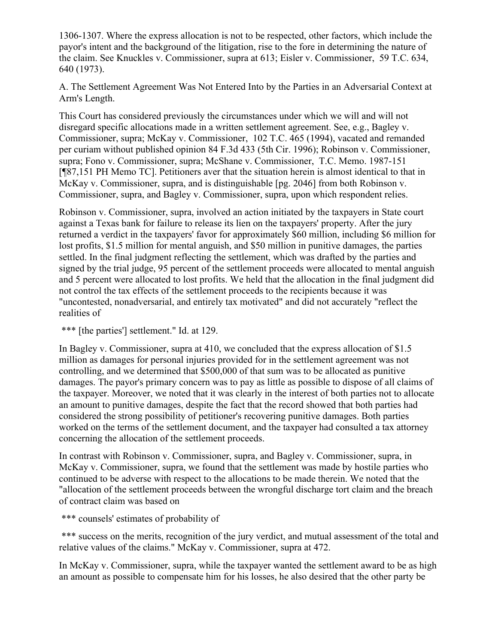1306-1307. Where the express allocation is not to be respected, other factors, which include the payor's intent and the background of the litigation, rise to the fore in determining the nature of the claim. See Knuckles v. Commissioner, supra at 613; Eisler v. Commissioner, 59 T.C. 634, 640 (1973).

A. The Settlement Agreement Was Not Entered Into by the Parties in an Adversarial Context at Arm's Length.

This Court has considered previously the circumstances under which we will and will not disregard specific allocations made in a written settlement agreement. See, e.g., Bagley v. Commissioner, supra; McKay v. Commissioner, 102 T.C. 465 (1994), vacated and remanded per curiam without published opinion 84 F.3d 433 (5th Cir. 1996); Robinson v. Commissioner, supra; Fono v. Commissioner, supra; McShane v. Commissioner, T.C. Memo. 1987-151 [¶87,151 PH Memo TC]. Petitioners aver that the situation herein is almost identical to that in McKay v. Commissioner, supra, and is distinguishable [pg. 2046] from both Robinson v. Commissioner, supra, and Bagley v. Commissioner, supra, upon which respondent relies.

Robinson v. Commissioner, supra, involved an action initiated by the taxpayers in State court against a Texas bank for failure to release its lien on the taxpayers' property. After the jury returned a verdict in the taxpayers' favor for approximately \$60 million, including \$6 million for lost profits, \$1.5 million for mental anguish, and \$50 million in punitive damages, the parties settled. In the final judgment reflecting the settlement, which was drafted by the parties and signed by the trial judge, 95 percent of the settlement proceeds were allocated to mental anguish and 5 percent were allocated to lost profits. We held that the allocation in the final judgment did not control the tax effects of the settlement proceeds to the recipients because it was "uncontested, nonadversarial, and entirely tax motivated" and did not accurately "reflect the realities of

\*\*\* [the parties'] settlement." Id. at 129.

In Bagley v. Commissioner, supra at 410, we concluded that the express allocation of \$1.5 million as damages for personal injuries provided for in the settlement agreement was not controlling, and we determined that \$500,000 of that sum was to be allocated as punitive damages. The payor's primary concern was to pay as little as possible to dispose of all claims of the taxpayer. Moreover, we noted that it was clearly in the interest of both parties not to allocate an amount to punitive damages, despite the fact that the record showed that both parties had considered the strong possibility of petitioner's recovering punitive damages. Both parties worked on the terms of the settlement document, and the taxpayer had consulted a tax attorney concerning the allocation of the settlement proceeds.

In contrast with Robinson v. Commissioner, supra, and Bagley v. Commissioner, supra, in McKay v. Commissioner, supra, we found that the settlement was made by hostile parties who continued to be adverse with respect to the allocations to be made therein. We noted that the "allocation of the settlement proceeds between the wrongful discharge tort claim and the breach of contract claim was based on

\*\*\* counsels' estimates of probability of

\*\*\* success on the merits, recognition of the jury verdict, and mutual assessment of the total and relative values of the claims." McKay v. Commissioner, supra at 472.

In McKay v. Commissioner, supra, while the taxpayer wanted the settlement award to be as high an amount as possible to compensate him for his losses, he also desired that the other party be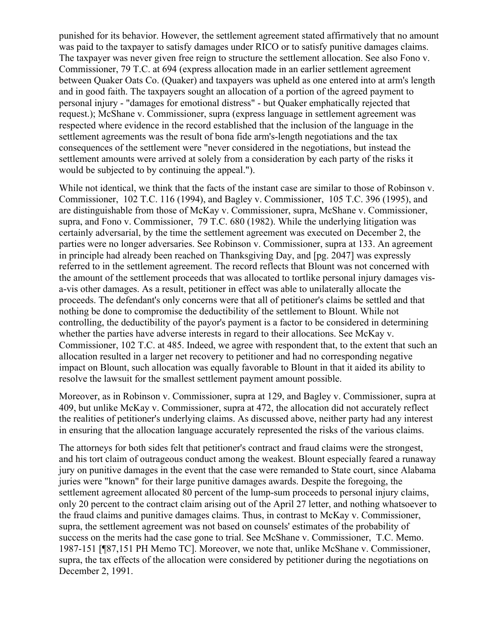punished for its behavior. However, the settlement agreement stated affirmatively that no amount was paid to the taxpayer to satisfy damages under RICO or to satisfy punitive damages claims. The taxpayer was never given free reign to structure the settlement allocation. See also Fono v. Commissioner, 79 T.C. at 694 (express allocation made in an earlier settlement agreement between Quaker Oats Co. (Quaker) and taxpayers was upheld as one entered into at arm's length and in good faith. The taxpayers sought an allocation of a portion of the agreed payment to personal injury - "damages for emotional distress" - but Quaker emphatically rejected that request.); McShane v. Commissioner, supra (express language in settlement agreement was respected where evidence in the record established that the inclusion of the language in the settlement agreements was the result of bona fide arm's-length negotiations and the tax consequences of the settlement were "never considered in the negotiations, but instead the settlement amounts were arrived at solely from a consideration by each party of the risks it would be subjected to by continuing the appeal.").

While not identical, we think that the facts of the instant case are similar to those of Robinson v. Commissioner, 102 T.C. 116 (1994), and Bagley v. Commissioner, 105 T.C. 396 (1995), and are distinguishable from those of McKay v. Commissioner, supra, McShane v. Commissioner, supra, and Fono v. Commissioner, 79 T.C. 680 (1982). While the underlying litigation was certainly adversarial, by the time the settlement agreement was executed on December 2, the parties were no longer adversaries. See Robinson v. Commissioner, supra at 133. An agreement in principle had already been reached on Thanksgiving Day, and [pg. 2047] was expressly referred to in the settlement agreement. The record reflects that Blount was not concerned with the amount of the settlement proceeds that was allocated to tortlike personal injury damages visa-vis other damages. As a result, petitioner in effect was able to unilaterally allocate the proceeds. The defendant's only concerns were that all of petitioner's claims be settled and that nothing be done to compromise the deductibility of the settlement to Blount. While not controlling, the deductibility of the payor's payment is a factor to be considered in determining whether the parties have adverse interests in regard to their allocations. See McKay v. Commissioner, 102 T.C. at 485. Indeed, we agree with respondent that, to the extent that such an allocation resulted in a larger net recovery to petitioner and had no corresponding negative impact on Blount, such allocation was equally favorable to Blount in that it aided its ability to resolve the lawsuit for the smallest settlement payment amount possible.

Moreover, as in Robinson v. Commissioner, supra at 129, and Bagley v. Commissioner, supra at 409, but unlike McKay v. Commissioner, supra at 472, the allocation did not accurately reflect the realities of petitioner's underlying claims. As discussed above, neither party had any interest in ensuring that the allocation language accurately represented the risks of the various claims.

The attorneys for both sides felt that petitioner's contract and fraud claims were the strongest, and his tort claim of outrageous conduct among the weakest. Blount especially feared a runaway jury on punitive damages in the event that the case were remanded to State court, since Alabama juries were "known" for their large punitive damages awards. Despite the foregoing, the settlement agreement allocated 80 percent of the lump-sum proceeds to personal injury claims, only 20 percent to the contract claim arising out of the April 27 letter, and nothing whatsoever to the fraud claims and punitive damages claims. Thus, in contrast to McKay v. Commissioner, supra, the settlement agreement was not based on counsels' estimates of the probability of success on the merits had the case gone to trial. See McShane v. Commissioner, T.C. Memo. 1987-151 [¶87,151 PH Memo TC]. Moreover, we note that, unlike McShane v. Commissioner, supra, the tax effects of the allocation were considered by petitioner during the negotiations on December 2, 1991.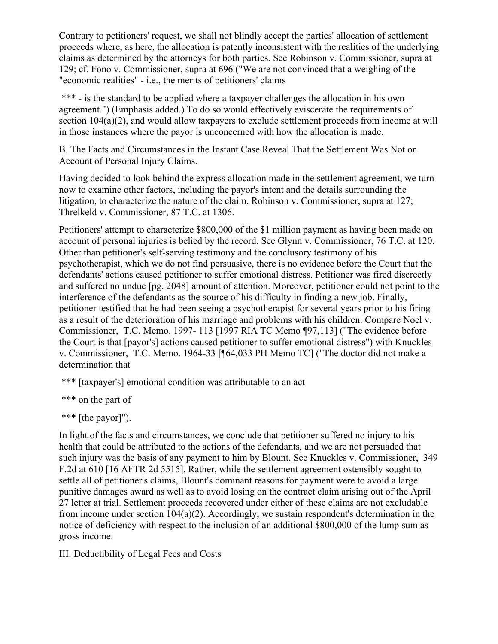Contrary to petitioners' request, we shall not blindly accept the parties' allocation of settlement proceeds where, as here, the allocation is patently inconsistent with the realities of the underlying claims as determined by the attorneys for both parties. See Robinson v. Commissioner, supra at 129; cf. Fono v. Commissioner, supra at 696 ("We are not convinced that a weighing of the "economic realities" - i.e., the merits of petitioners' claims

\*\*\* - is the standard to be applied where a taxpayer challenges the allocation in his own agreement.") (Emphasis added.) To do so would effectively eviscerate the requirements of section 104(a)(2), and would allow taxpayers to exclude settlement proceeds from income at will in those instances where the payor is unconcerned with how the allocation is made.

B. The Facts and Circumstances in the Instant Case Reveal That the Settlement Was Not on Account of Personal Injury Claims.

Having decided to look behind the express allocation made in the settlement agreement, we turn now to examine other factors, including the payor's intent and the details surrounding the litigation, to characterize the nature of the claim. Robinson v. Commissioner, supra at 127; Threlkeld v. Commissioner, 87 T.C. at 1306.

Petitioners' attempt to characterize \$800,000 of the \$1 million payment as having been made on account of personal injuries is belied by the record. See Glynn v. Commissioner, 76 T.C. at 120. Other than petitioner's self-serving testimony and the conclusory testimony of his psychotherapist, which we do not find persuasive, there is no evidence before the Court that the defendants' actions caused petitioner to suffer emotional distress. Petitioner was fired discreetly and suffered no undue [pg. 2048] amount of attention. Moreover, petitioner could not point to the interference of the defendants as the source of his difficulty in finding a new job. Finally, petitioner testified that he had been seeing a psychotherapist for several years prior to his firing as a result of the deterioration of his marriage and problems with his children. Compare Noel v. Commissioner, T.C. Memo. 1997- 113 [1997 RIA TC Memo ¶97,113] ("The evidence before the Court is that [payor's] actions caused petitioner to suffer emotional distress") with Knuckles v. Commissioner, T.C. Memo. 1964-33 [¶64,033 PH Memo TC] ("The doctor did not make a determination that

\*\*\* [taxpayer's] emotional condition was attributable to an act

\*\*\* on the part of

\*\*\* [the payor]").

In light of the facts and circumstances, we conclude that petitioner suffered no injury to his health that could be attributed to the actions of the defendants, and we are not persuaded that such injury was the basis of any payment to him by Blount. See Knuckles v. Commissioner, 349 F.2d at 610 [16 AFTR 2d 5515]. Rather, while the settlement agreement ostensibly sought to settle all of petitioner's claims, Blount's dominant reasons for payment were to avoid a large punitive damages award as well as to avoid losing on the contract claim arising out of the April 27 letter at trial. Settlement proceeds recovered under either of these claims are not excludable from income under section  $104(a)(2)$ . Accordingly, we sustain respondent's determination in the notice of deficiency with respect to the inclusion of an additional \$800,000 of the lump sum as gross income.

III. Deductibility of Legal Fees and Costs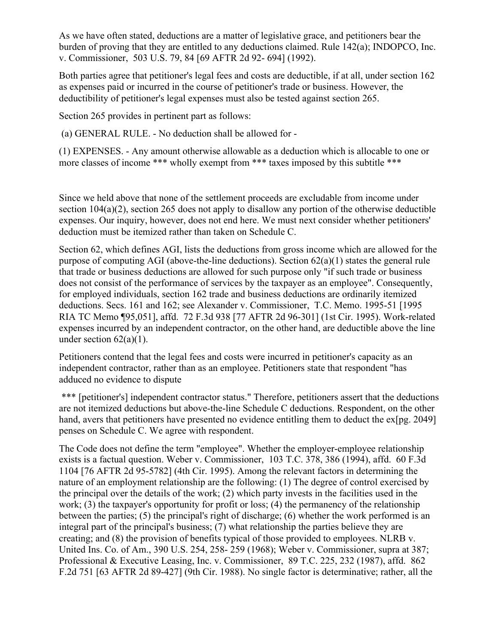As we have often stated, deductions are a matter of legislative grace, and petitioners bear the burden of proving that they are entitled to any deductions claimed. Rule 142(a); INDOPCO, Inc. v. Commissioner, 503 U.S. 79, 84 [69 AFTR 2d 92- 694] (1992).

Both parties agree that petitioner's legal fees and costs are deductible, if at all, under section 162 as expenses paid or incurred in the course of petitioner's trade or business. However, the deductibility of petitioner's legal expenses must also be tested against section 265.

Section 265 provides in pertinent part as follows:

(a) GENERAL RULE. - No deduction shall be allowed for -

(1) EXPENSES. - Any amount otherwise allowable as a deduction which is allocable to one or more classes of income \*\*\* wholly exempt from \*\*\* taxes imposed by this subtitle \*\*\*

Since we held above that none of the settlement proceeds are excludable from income under section 104(a)(2), section 265 does not apply to disallow any portion of the otherwise deductible expenses. Our inquiry, however, does not end here. We must next consider whether petitioners' deduction must be itemized rather than taken on Schedule C.

Section 62, which defines AGI, lists the deductions from gross income which are allowed for the purpose of computing AGI (above-the-line deductions). Section  $62(a)(1)$  states the general rule that trade or business deductions are allowed for such purpose only "if such trade or business does not consist of the performance of services by the taxpayer as an employee". Consequently, for employed individuals, section 162 trade and business deductions are ordinarily itemized deductions. Secs. 161 and 162; see Alexander v. Commissioner, T.C. Memo. 1995-51 [1995 RIA TC Memo ¶95,051], affd. 72 F.3d 938 [77 AFTR 2d 96-301] (1st Cir. 1995). Work-related expenses incurred by an independent contractor, on the other hand, are deductible above the line under section  $62(a)(1)$ .

Petitioners contend that the legal fees and costs were incurred in petitioner's capacity as an independent contractor, rather than as an employee. Petitioners state that respondent "has adduced no evidence to dispute

\*\*\* [petitioner's] independent contractor status." Therefore, petitioners assert that the deductions are not itemized deductions but above-the-line Schedule C deductions. Respondent, on the other hand, avers that petitioners have presented no evidence entitling them to deduct the ex[pg. 2049] penses on Schedule C. We agree with respondent.

The Code does not define the term "employee". Whether the employer-employee relationship exists is a factual question. Weber v. Commissioner, 103 T.C. 378, 386 (1994), affd. 60 F.3d 1104 [76 AFTR 2d 95-5782] (4th Cir. 1995). Among the relevant factors in determining the nature of an employment relationship are the following: (1) The degree of control exercised by the principal over the details of the work; (2) which party invests in the facilities used in the work; (3) the taxpayer's opportunity for profit or loss; (4) the permanency of the relationship between the parties; (5) the principal's right of discharge; (6) whether the work performed is an integral part of the principal's business; (7) what relationship the parties believe they are creating; and (8) the provision of benefits typical of those provided to employees. NLRB v. United Ins. Co. of Am., 390 U.S. 254, 258- 259 (1968); Weber v. Commissioner, supra at 387; Professional & Executive Leasing, Inc. v. Commissioner, 89 T.C. 225, 232 (1987), affd. 862 F.2d 751 [63 AFTR 2d 89-427] (9th Cir. 1988). No single factor is determinative; rather, all the